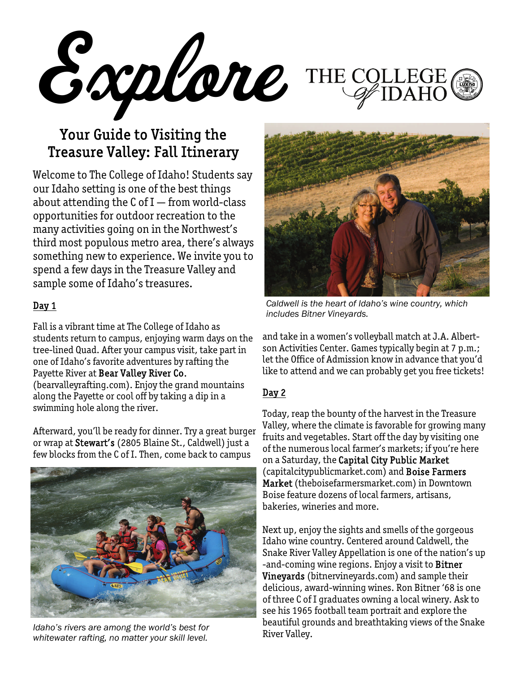Explore THE COLLEGE

## Your Guide to Visiting the Treasure Valley: Fall Itinerary

Welcome to The College of Idaho! Students say our Idaho setting is one of the best things about attending the  $C$  of I – from world-class opportunities for outdoor recreation to the many activities going on in the Northwest's third most populous metro area, there's always something new to experience. We invite you to spend a few days in the Treasure Valley and sample some of Idaho's treasures.

## Day 1

Fall is a vibrant time at The College of Idaho as students return to campus, enjoying warm days on the tree-lined Quad. After your campus visit, take part in one of Idaho's favorite adventures by rafting the Payette River at Bear Valley River Co.

(bearvalleyrafting.com). Enjoy the grand mountains along the Payette or cool off by taking a dip in a swimming hole along the river.

Afterward, you'll be ready for dinner. Try a great burger or wrap at Stewart's (2805 Blaine St., Caldwell) just a few blocks from the C of I. Then, come back to campus



*Idaho's rivers are among the world's best for Deauthul growth beautiful growth and the world's best for River Valley. whitewater rafting, no matter your skill level.* 



*Caldwell is the heart of Idaho's wine country, which includes Bitner Vineyards.* 

and take in a women's volleyball match at J.A. Albertson Activities Center. Games typically begin at 7 p.m.; let the Office of Admission know in advance that you'd like to attend and we can probably get you free tickets!

## Day 2

Today, reap the bounty of the harvest in the Treasure Valley, where the climate is favorable for growing many fruits and vegetables. Start off the day by visiting one of the numerous local farmer's markets; if you're here on a Saturday, the Capital City Public Market (capitalcitypublicmarket.com) and Boise Farmers Market (theboisefarmersmarket.com) in Downtown Boise feature dozens of local farmers, artisans, bakeries, wineries and more.

Next up, enjoy the sights and smells of the gorgeous Idaho wine country. Centered around Caldwell, the Snake River Valley Appellation is one of the nation's up -and-coming wine regions. Enjoy a visit to Bitner Vineyards (bitnervineyards.com) and sample their delicious, award-winning wines. Ron Bitner '68 is one of three C of I graduates owning a local winery. Ask to see his 1965 football team portrait and explore the beautiful grounds and breathtaking views of the Snake